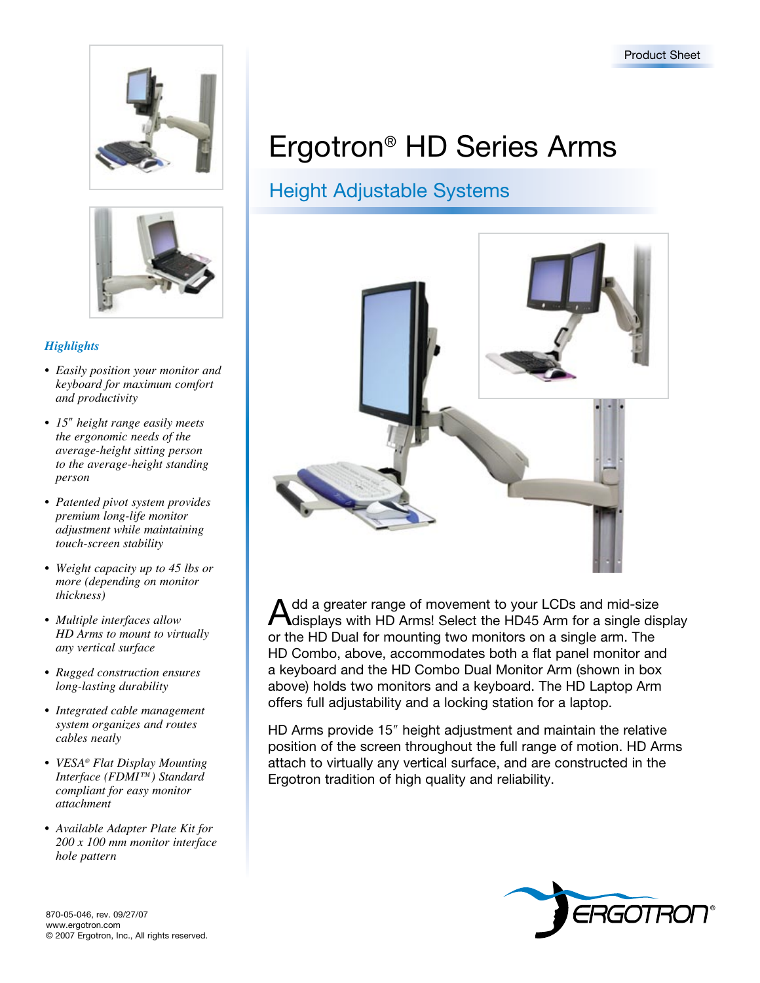



## *Highlights*

- *Easily position your monitor and keyboard for maximum comfort and productivity*
- *15*ʺ *height range easily meets the ergonomic needs of the average-height sitting person to the average-height standing person*
- *• Patented pivot system provides premium long-life monitor adjustment while maintaining touch-screen stability*
- *• Weight capacity up to 45 lbs or more (depending on monitor thickness)*
- *• Multiple interfaces allow HD Arms to mount to virtually any vertical surface*
- *• Rugged construction ensures long-lasting durability*
- *• Integrated cable management system organizes and routes cables neatly*
- *• VESA® Flat Display Mounting Interface (FDMI™) Standard compliant for easy monitor attachment*
- *• Available Adapter Plate Kit for 200 x 100 mm monitor interface hole pattern*

# Ergotron® HD Series Arms

# Height Adjustable Systems



Add a greater range of movement to your LCDs and mid-size<br>Adisplays with HD Arms! Select the HD45 Arm for a single display or the HD Dual for mounting two monitors on a single arm. The HD Combo, above, accommodates both a flat panel monitor and a keyboard and the HD Combo Dual Monitor Arm (shown in box above) holds two monitors and a keyboard. The HD Laptop Arm offers full adjustability and a locking station for a laptop.

HD Arms provide 15" height adjustment and maintain the relative position of the screen throughout the full range of motion. HD Arms attach to virtually any vertical surface, and are constructed in the Ergotron tradition of high quality and reliability.